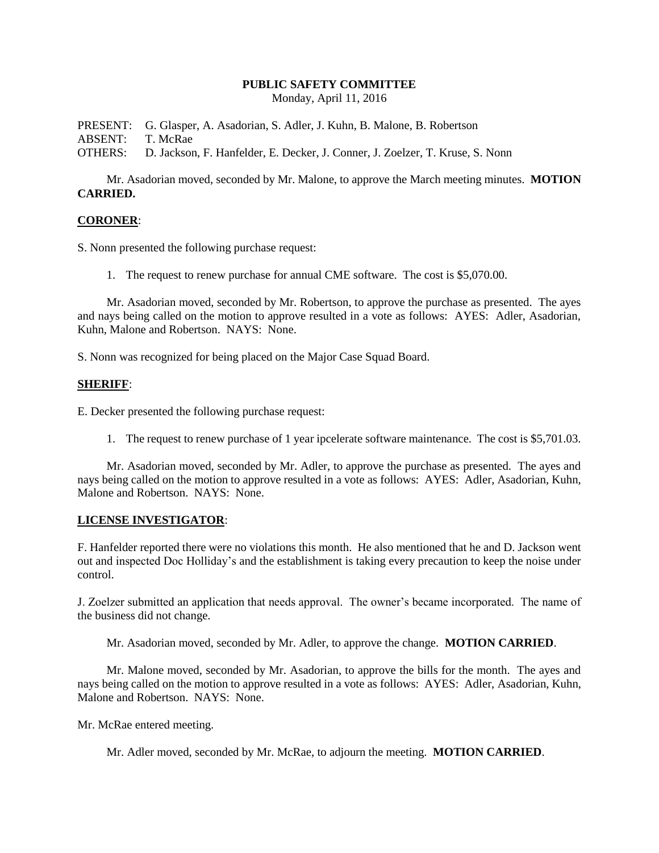## **PUBLIC SAFETY COMMITTEE**

Monday, April 11, 2016

PRESENT: G. Glasper, A. Asadorian, S. Adler, J. Kuhn, B. Malone, B. Robertson ABSENT: T. McRae

OTHERS: D. Jackson, F. Hanfelder, E. Decker, J. Conner, J. Zoelzer, T. Kruse, S. Nonn

Mr. Asadorian moved, seconded by Mr. Malone, to approve the March meeting minutes. **MOTION CARRIED.**

## **CORONER**:

S. Nonn presented the following purchase request:

1. The request to renew purchase for annual CME software. The cost is \$5,070.00.

Mr. Asadorian moved, seconded by Mr. Robertson, to approve the purchase as presented. The ayes and nays being called on the motion to approve resulted in a vote as follows: AYES: Adler, Asadorian, Kuhn, Malone and Robertson. NAYS: None.

S. Nonn was recognized for being placed on the Major Case Squad Board.

## **SHERIFF**:

E. Decker presented the following purchase request:

1. The request to renew purchase of 1 year ipcelerate software maintenance. The cost is \$5,701.03.

Mr. Asadorian moved, seconded by Mr. Adler, to approve the purchase as presented. The ayes and nays being called on the motion to approve resulted in a vote as follows: AYES: Adler, Asadorian, Kuhn, Malone and Robertson. NAYS: None.

## **LICENSE INVESTIGATOR**:

F. Hanfelder reported there were no violations this month. He also mentioned that he and D. Jackson went out and inspected Doc Holliday's and the establishment is taking every precaution to keep the noise under control.

J. Zoelzer submitted an application that needs approval. The owner's became incorporated. The name of the business did not change.

Mr. Asadorian moved, seconded by Mr. Adler, to approve the change. **MOTION CARRIED**.

Mr. Malone moved, seconded by Mr. Asadorian, to approve the bills for the month. The ayes and nays being called on the motion to approve resulted in a vote as follows: AYES: Adler, Asadorian, Kuhn, Malone and Robertson. NAYS: None.

Mr. McRae entered meeting.

Mr. Adler moved, seconded by Mr. McRae, to adjourn the meeting. **MOTION CARRIED**.